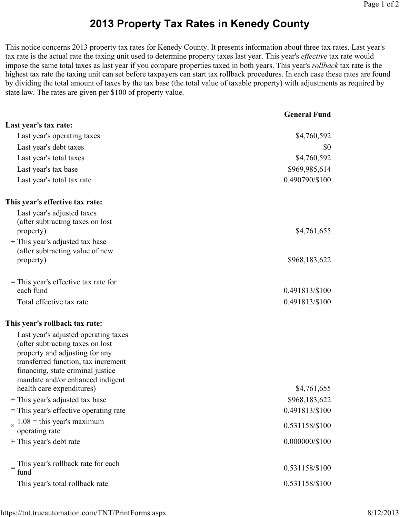## 2013 Property Tax Rates in Kenedy County

This notice concerns 2013 property tax rates for Kenedy County. It presents information about three tax rates. Last year's tax rate is the actual rate the taxing unit used to determine property taxes last year. This year's *effective* tax rate would impose the same total taxes as last year if you compare properties taxed in both years. This year's *rollback* tax rate is the highest tax rate the taxing unit can set before taxpayers can start tax rollback procedures. In each case these rates are found by dividing the total amount of taxes by the tax base (the total value of taxable property) with adjustments as required by state law. The rates are given per \$100 of property value.

|                                                                     | <b>General Fund</b> |
|---------------------------------------------------------------------|---------------------|
| Last year's tax rate:                                               |                     |
| Last year's operating taxes                                         | \$4,760,592         |
| Last year's debt taxes                                              | \$0                 |
| Last year's total taxes                                             | \$4,760,592         |
| Last year's tax base                                                | \$969,985,614       |
| Last year's total tax rate                                          | 0.490790/\$100      |
| This year's effective tax rate:                                     |                     |
| Last year's adjusted taxes                                          |                     |
| (after subtracting taxes on lost)                                   |                     |
| property)<br>$\div$ This year's adjusted tax base                   | \$4,761,655         |
| (after subtracting value of new                                     |                     |
| property)                                                           | \$968,183,622       |
| $=$ This year's effective tax rate for                              |                     |
| each fund                                                           | 0.491813/\$100      |
| Total effective tax rate                                            | 0.491813/\$100      |
| This year's rollback tax rate:                                      |                     |
| Last year's adjusted operating taxes                                |                     |
| (after subtracting taxes on lost)<br>property and adjusting for any |                     |
| transferred function, tax increment                                 |                     |
| financing, state criminal justice                                   |                     |
| mandate and/or enhanced indigent                                    |                     |
| health care expenditures)                                           | \$4,761,655         |
| $\div$ This year's adjusted tax base                                | \$968,183,622       |
| = This year's effective operating rate                              | 0.491813/\$100      |
| $\chi$ 1.08 = this year's maximum<br>operating rate                 | 0.531158/\$100      |
| + This year's debt rate                                             | $0.000000/\$100$    |
|                                                                     |                     |
| This year's rollback rate for each                                  | 0.531158/\$100      |
| fund                                                                |                     |
| This year's total rollback rate                                     | 0.531158/\$100      |